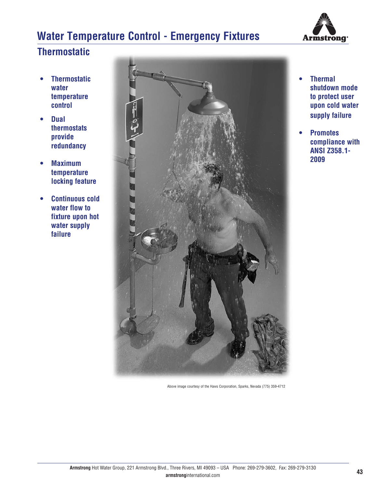# **Water Temperature Control - Emergency Fixtures**



### **Thermostatic**

- **Thermostatic water temperature control**
- **Dual thermostats provide redundancy**
- **Maximum temperature locking feature**
- **Continuous cold water flow to fixture upon hot water supply failure**



Above image courtesy of the Haws Corporation, Sparks, Nevada (775) 359-4712

- **Thermal shutdown mode to protect user upon cold water supply failure**
- **Promotes compliance with ANSI Z358.1- 2009**